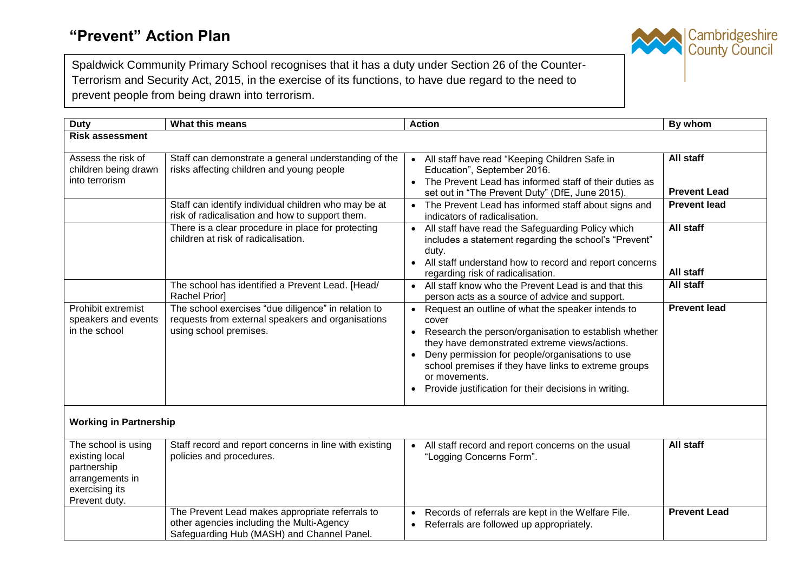

Spaldwick Community Primary School recognises that it has a duty under Section 26 of the Counter-Terrorism and Security Act, 2015, in the exercise of its functions, to have due regard to the need to prevent people from being drawn into terrorism.

| <b>Duty</b>                                                                                                | What this means                                                                                                                                           | <b>Action</b>                                                                                                                                                                                                                                                                                                                                                                                                 | By whom                                                 |  |
|------------------------------------------------------------------------------------------------------------|-----------------------------------------------------------------------------------------------------------------------------------------------------------|---------------------------------------------------------------------------------------------------------------------------------------------------------------------------------------------------------------------------------------------------------------------------------------------------------------------------------------------------------------------------------------------------------------|---------------------------------------------------------|--|
| <b>Risk assessment</b>                                                                                     |                                                                                                                                                           |                                                                                                                                                                                                                                                                                                                                                                                                               |                                                         |  |
| Assess the risk of<br>children being drawn<br>into terrorism                                               | Staff can demonstrate a general understanding of the<br>risks affecting children and young people<br>Staff can identify individual children who may be at | • All staff have read "Keeping Children Safe in<br>Education", September 2016.<br>The Prevent Lead has informed staff of their duties as<br>$\bullet$<br>set out in "The Prevent Duty" (DfE, June 2015).<br>• The Prevent Lead has informed staff about signs and                                                                                                                                             | All staff<br><b>Prevent Lead</b><br><b>Prevent lead</b> |  |
|                                                                                                            | risk of radicalisation and how to support them.<br>There is a clear procedure in place for protecting<br>children at risk of radicalisation.              | indicators of radicalisation.<br>All staff have read the Safeguarding Policy which<br>$\bullet$<br>includes a statement regarding the school's "Prevent"<br>duty.<br>All staff understand how to record and report concerns<br>$\bullet$<br>regarding risk of radicalisation.                                                                                                                                 | All staff<br>All staff                                  |  |
|                                                                                                            | The school has identified a Prevent Lead. [Head/<br>Rachel Prior]                                                                                         | • All staff know who the Prevent Lead is and that this<br>person acts as a source of advice and support.                                                                                                                                                                                                                                                                                                      | All staff                                               |  |
| Prohibit extremist<br>speakers and events<br>in the school                                                 | The school exercises "due diligence" in relation to<br>requests from external speakers and organisations<br>using school premises.                        | Request an outline of what the speaker intends to<br>$\bullet$<br>cover<br>Research the person/organisation to establish whether<br>$\bullet$<br>they have demonstrated extreme views/actions.<br>Deny permission for people/organisations to use<br>$\bullet$<br>school premises if they have links to extreme groups<br>or movements.<br>Provide justification for their decisions in writing.<br>$\bullet$ | <b>Prevent lead</b>                                     |  |
| <b>Working in Partnership</b>                                                                              |                                                                                                                                                           |                                                                                                                                                                                                                                                                                                                                                                                                               |                                                         |  |
| The school is using<br>existing local<br>partnership<br>arrangements in<br>exercising its<br>Prevent duty. | Staff record and report concerns in line with existing<br>policies and procedures.                                                                        | All staff record and report concerns on the usual<br>"Logging Concerns Form".                                                                                                                                                                                                                                                                                                                                 | All staff                                               |  |
|                                                                                                            | The Prevent Lead makes appropriate referrals to<br>other agencies including the Multi-Agency<br>Safeguarding Hub (MASH) and Channel Panel.                | Records of referrals are kept in the Welfare File.<br>$\bullet$<br>Referrals are followed up appropriately.<br>$\bullet$                                                                                                                                                                                                                                                                                      | <b>Prevent Lead</b>                                     |  |